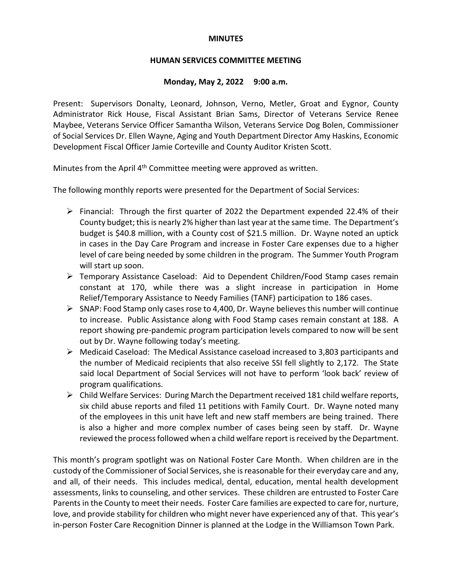### **MINUTES**

## **HUMAN SERVICES COMMITTEE MEETING**

### **Monday, May 2, 2022 9:00 a.m.**

Present: Supervisors Donalty, Leonard, Johnson, Verno, Metler, Groat and Eygnor, County Administrator Rick House, Fiscal Assistant Brian Sams, Director of Veterans Service Renee Maybee, Veterans Service Officer Samantha Wilson, Veterans Service Dog Bolen, Commissioner of Social Services Dr. Ellen Wayne, Aging and Youth Department Director Amy Haskins, Economic Development Fiscal Officer Jamie Corteville and County Auditor Kristen Scott.

Minutes from the April 4<sup>th</sup> Committee meeting were approved as written.

The following monthly reports were presented for the Department of Social Services:

- $\triangleright$  Financial: Through the first quarter of 2022 the Department expended 22.4% of their County budget; this is nearly 2% higher than last year at the same time. The Department's budget is \$40.8 million, with a County cost of \$21.5 million. Dr. Wayne noted an uptick in cases in the Day Care Program and increase in Foster Care expenses due to a higher level of care being needed by some children in the program. The Summer Youth Program will start up soon.
- $\triangleright$  Temporary Assistance Caseload: Aid to Dependent Children/Food Stamp cases remain constant at 170, while there was a slight increase in participation in Home Relief/Temporary Assistance to Needy Families (TANF) participation to 186 cases.
- $\triangleright$  SNAP: Food Stamp only cases rose to 4,400, Dr. Wayne believes this number will continue to increase. Public Assistance along with Food Stamp cases remain constant at 188. A report showing pre-pandemic program participation levels compared to now will be sent out by Dr. Wayne following today's meeting.
- Medicaid Caseload: The Medical Assistance caseload increased to 3,803 participants and the number of Medicaid recipients that also receive SSI fell slightly to 2,172. The State said local Department of Social Services will not have to perform 'look back' review of program qualifications.
- $\triangleright$  Child Welfare Services: During March the Department received 181 child welfare reports, six child abuse reports and filed 11 petitions with Family Court. Dr. Wayne noted many of the employees in this unit have left and new staff members are being trained. There is also a higher and more complex number of cases being seen by staff. Dr. Wayne reviewed the process followed when a child welfare report is received by the Department.

This month's program spotlight was on National Foster Care Month. When children are in the custody of the Commissioner of Social Services, she is reasonable for their everyday care and any, and all, of their needs. This includes medical, dental, education, mental health development assessments, links to counseling, and other services. These children are entrusted to Foster Care Parents in the County to meet their needs. Foster Care families are expected to care for, nurture, love, and provide stability for children who might never have experienced any of that. This year's in-person Foster Care Recognition Dinner is planned at the Lodge in the Williamson Town Park.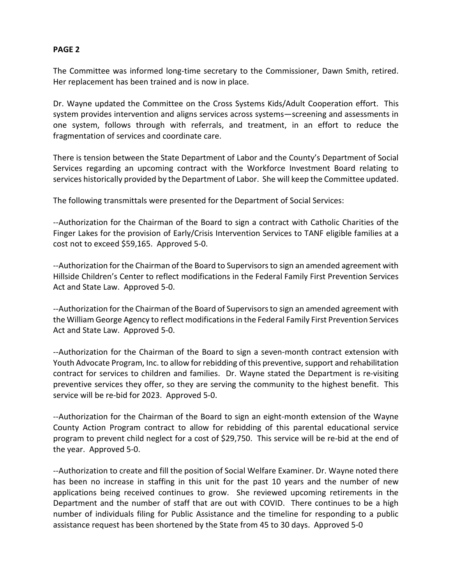## **PAGE 2**

The Committee was informed long-time secretary to the Commissioner, Dawn Smith, retired. Her replacement has been trained and is now in place.

Dr. Wayne updated the Committee on the Cross Systems Kids/Adult Cooperation effort. This system provides intervention and aligns services across systems—screening and assessments in one system, follows through with referrals, and treatment, in an effort to reduce the fragmentation of services and coordinate care.

There is tension between the State Department of Labor and the County's Department of Social Services regarding an upcoming contract with the Workforce Investment Board relating to services historically provided by the Department of Labor. She will keep the Committee updated.

The following transmittals were presented for the Department of Social Services:

--Authorization for the Chairman of the Board to sign a contract with Catholic Charities of the Finger Lakes for the provision of Early/Crisis Intervention Services to TANF eligible families at a cost not to exceed \$59,165. Approved 5-0.

--Authorization for the Chairman of the Board to Supervisors to sign an amended agreement with Hillside Children's Center to reflect modifications in the Federal Family First Prevention Services Act and State Law. Approved 5-0.

--Authorization for the Chairman of the Board of Supervisors to sign an amended agreement with the William George Agency to reflect modifications in the Federal Family First Prevention Services Act and State Law. Approved 5-0.

--Authorization for the Chairman of the Board to sign a seven-month contract extension with Youth Advocate Program, Inc. to allow for rebidding of this preventive, support and rehabilitation contract for services to children and families. Dr. Wayne stated the Department is re-visiting preventive services they offer, so they are serving the community to the highest benefit. This service will be re-bid for 2023. Approved 5-0.

--Authorization for the Chairman of the Board to sign an eight-month extension of the Wayne County Action Program contract to allow for rebidding of this parental educational service program to prevent child neglect for a cost of \$29,750. This service will be re-bid at the end of the year. Approved 5-0.

--Authorization to create and fill the position of Social Welfare Examiner. Dr. Wayne noted there has been no increase in staffing in this unit for the past 10 years and the number of new applications being received continues to grow. She reviewed upcoming retirements in the Department and the number of staff that are out with COVID. There continues to be a high number of individuals filing for Public Assistance and the timeline for responding to a public assistance request has been shortened by the State from 45 to 30 days. Approved 5-0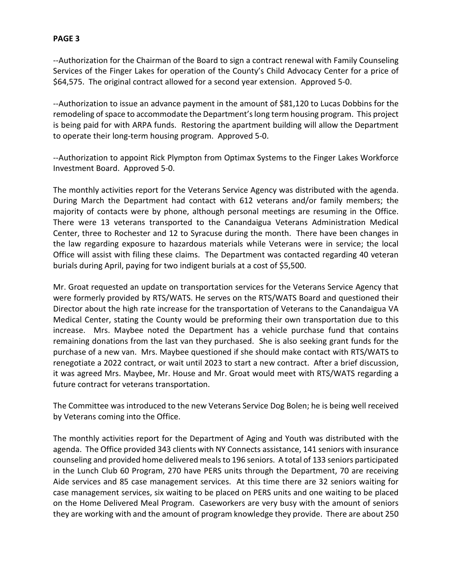# **PAGE 3**

--Authorization for the Chairman of the Board to sign a contract renewal with Family Counseling Services of the Finger Lakes for operation of the County's Child Advocacy Center for a price of \$64,575. The original contract allowed for a second year extension. Approved 5-0.

--Authorization to issue an advance payment in the amount of \$81,120 to Lucas Dobbins for the remodeling of space to accommodate the Department's long term housing program. This project is being paid for with ARPA funds. Restoring the apartment building will allow the Department to operate their long-term housing program. Approved 5-0.

--Authorization to appoint Rick Plympton from Optimax Systems to the Finger Lakes Workforce Investment Board. Approved 5-0.

The monthly activities report for the Veterans Service Agency was distributed with the agenda. During March the Department had contact with 612 veterans and/or family members; the majority of contacts were by phone, although personal meetings are resuming in the Office. There were 13 veterans transported to the Canandaigua Veterans Administration Medical Center, three to Rochester and 12 to Syracuse during the month. There have been changes in the law regarding exposure to hazardous materials while Veterans were in service; the local Office will assist with filing these claims. The Department was contacted regarding 40 veteran burials during April, paying for two indigent burials at a cost of \$5,500.

Mr. Groat requested an update on transportation services for the Veterans Service Agency that were formerly provided by RTS/WATS. He serves on the RTS/WATS Board and questioned their Director about the high rate increase for the transportation of Veterans to the Canandaigua VA Medical Center, stating the County would be preforming their own transportation due to this increase. Mrs. Maybee noted the Department has a vehicle purchase fund that contains remaining donations from the last van they purchased. She is also seeking grant funds for the purchase of a new van. Mrs. Maybee questioned if she should make contact with RTS/WATS to renegotiate a 2022 contract, or wait until 2023 to start a new contract. After a brief discussion, it was agreed Mrs. Maybee, Mr. House and Mr. Groat would meet with RTS/WATS regarding a future contract for veterans transportation.

The Committee was introduced to the new Veterans Service Dog Bolen; he is being well received by Veterans coming into the Office.

The monthly activities report for the Department of Aging and Youth was distributed with the agenda. The Office provided 343 clients with NY Connects assistance, 141 seniors with insurance counseling and provided home delivered meals to 196 seniors. A total of 133 seniors participated in the Lunch Club 60 Program, 270 have PERS units through the Department, 70 are receiving Aide services and 85 case management services. At this time there are 32 seniors waiting for case management services, six waiting to be placed on PERS units and one waiting to be placed on the Home Delivered Meal Program. Caseworkers are very busy with the amount of seniors they are working with and the amount of program knowledge they provide. There are about 250